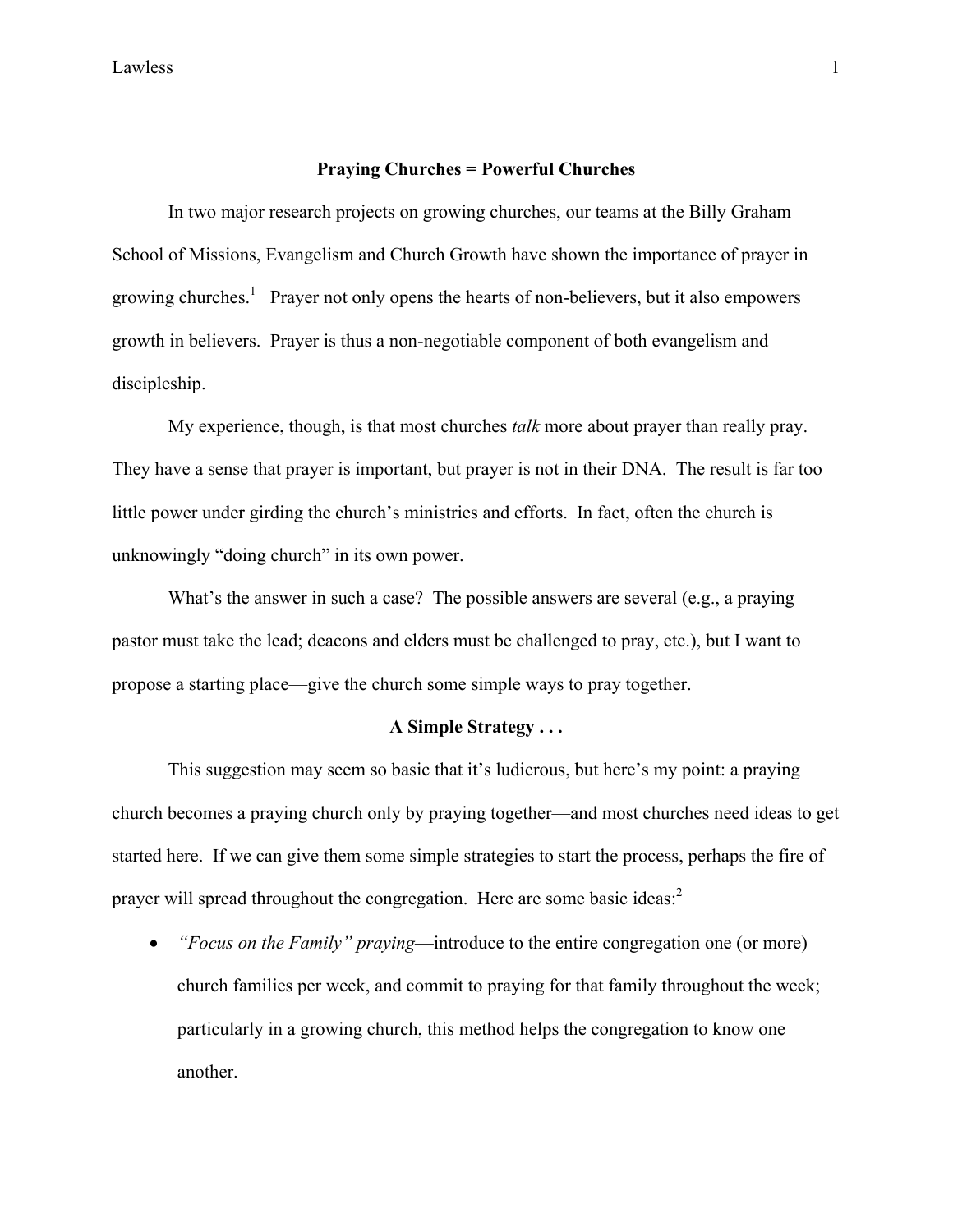## **Praying Churches = Powerful Churches**

 In two major research projects on growing churches, our teams at the Billy Graham School of Missions, Evangelism and Church Growth have shown the importance of prayer in growing churches.<sup>[1](#page-2-0)</sup> Prayer not only opens the hearts of non-believers, but it also empowers growth in believers. Prayer is thus a non-negotiable component of both evangelism and discipleship.

 My experience, though, is that most churches *talk* more about prayer than really pray. They have a sense that prayer is important, but prayer is not in their DNA. The result is far too little power under girding the church's ministries and efforts. In fact, often the church is unknowingly "doing church" in its own power.

 What's the answer in such a case? The possible answers are several (e.g., a praying pastor must take the lead; deacons and elders must be challenged to pray, etc.), but I want to propose a starting place—give the church some simple ways to pray together.

## **A Simple Strategy . . .**

This suggestion may seem so basic that it's ludicrous, but here's my point: a praying church becomes a praying church only by praying together—and most churches need ideas to get started here. If we can give them some simple strategies to start the process, perhaps the fire of prayer will spread throughout the congregation. Here are some basic ideas:<sup>[2](#page-2-1)</sup>

• *"Focus on the Family" praying*—introduce to the entire congregation one (or more) church families per week, and commit to praying for that family throughout the week; particularly in a growing church, this method helps the congregation to know one another.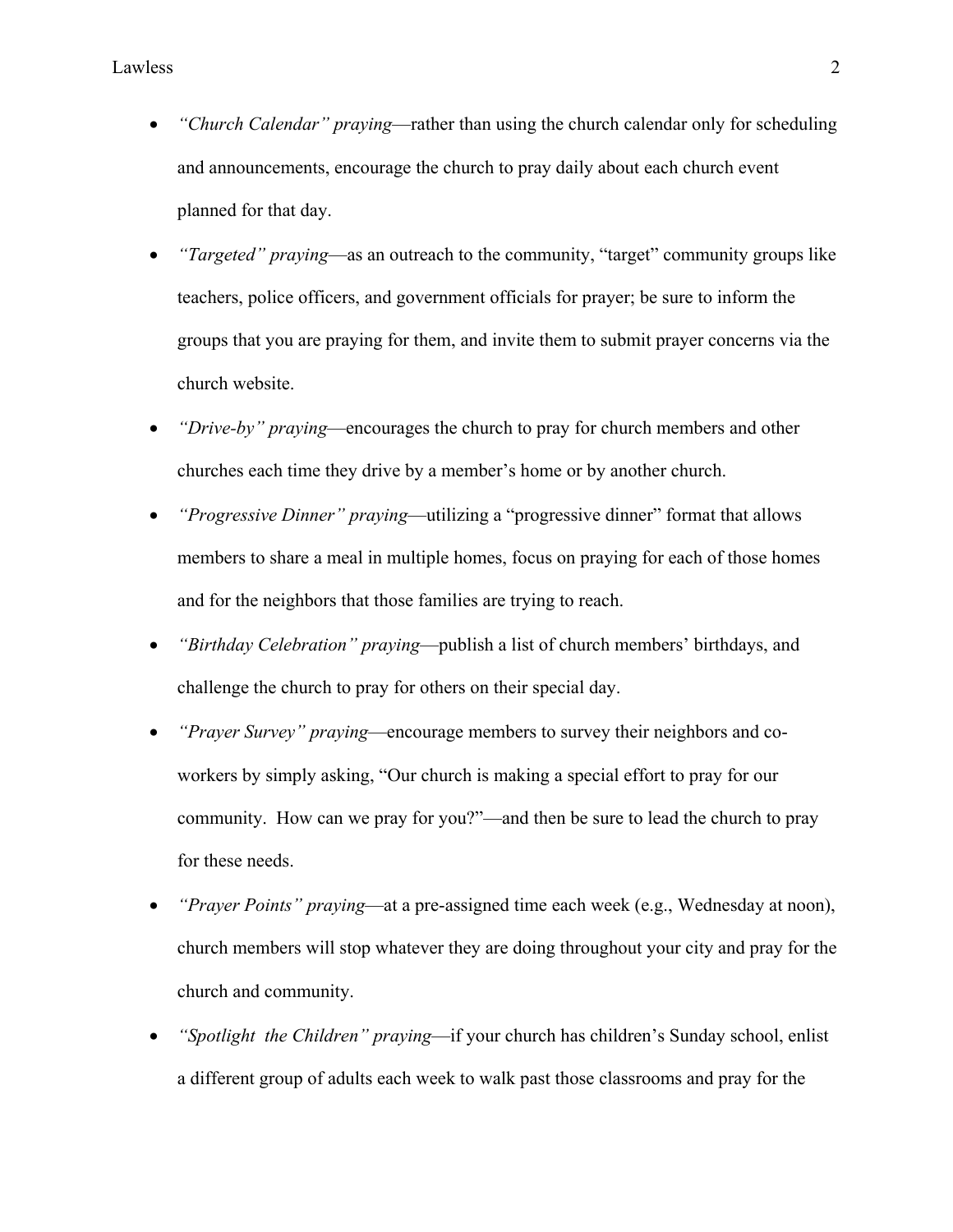- *"Church Calendar" praying*—rather than using the church calendar only for scheduling and announcements, encourage the church to pray daily about each church event planned for that day.
- *"Targeted" praying*—as an outreach to the community, "target" community groups like teachers, police officers, and government officials for prayer; be sure to inform the groups that you are praying for them, and invite them to submit prayer concerns via the church website.
- *"Drive-by" praying*—encourages the church to pray for church members and other churches each time they drive by a member's home or by another church.
- *"Progressive Dinner" praying*—utilizing a "progressive dinner" format that allows members to share a meal in multiple homes, focus on praying for each of those homes and for the neighbors that those families are trying to reach.
- *"Birthday Celebration" praying*—publish a list of church members' birthdays, and challenge the church to pray for others on their special day.
- *"Prayer Survey" praying*—encourage members to survey their neighbors and coworkers by simply asking, "Our church is making a special effort to pray for our community. How can we pray for you?"—and then be sure to lead the church to pray for these needs.
- *"Prayer Points" praying*—at a pre-assigned time each week (e.g., Wednesday at noon), church members will stop whatever they are doing throughout your city and pray for the church and community.
- *"Spotlight the Children" praying*—if your church has children's Sunday school, enlist a different group of adults each week to walk past those classrooms and pray for the